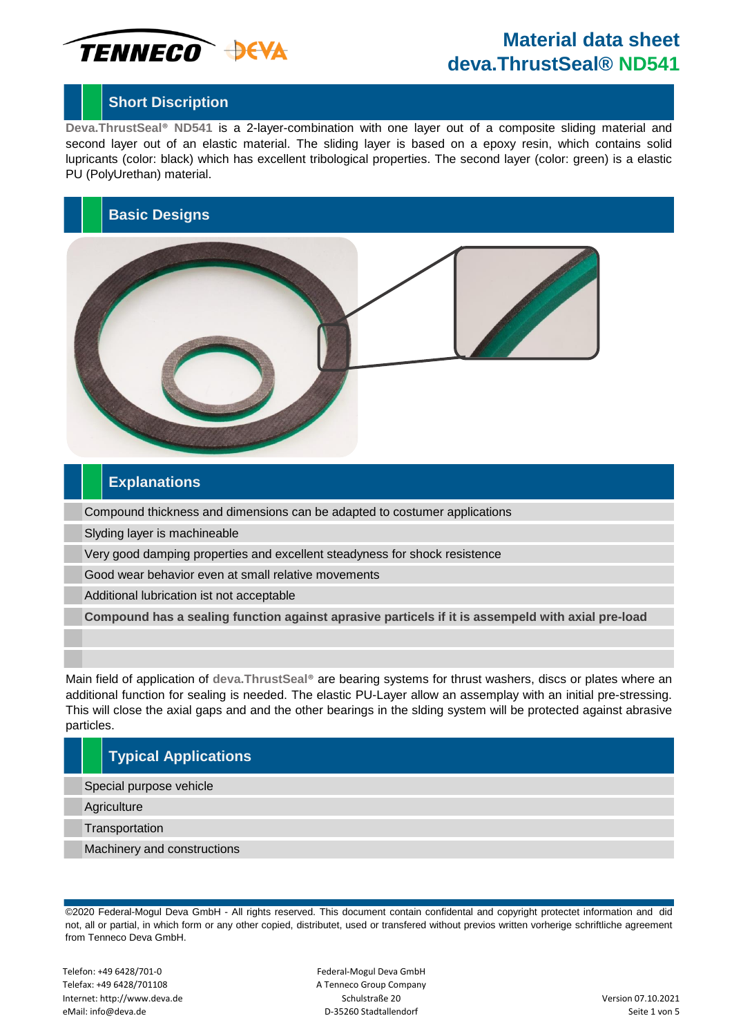

### **Short Discription**

**Deva.ThrustSeal® ND541** is a 2-layer-combination with one layer out of a composite sliding material and second layer out of an elastic material. The sliding layer is based on a epoxy resin, which contains solid lupricants (color: black) which has excellent tribological properties. The second layer (color: green) is a elastic PU (PolyUrethan) material.

### **Basic Designs**



#### **Explanations**

Compound thickness and dimensions can be adapted to costumer applications

Slyding layer is machineable

Very good damping properties and excellent steadyness for shock resistence

Good wear behavior even at small relative movements

Additional lubrication ist not acceptable

**Compound has a sealing function against aprasive particels if it is assempeld with axial pre-load**

Main field of application of **deva.ThrustSeal®** are bearing systems for thrust washers, discs or plates where an additional function for sealing is needed. The elastic PU-Layer allow an assemplay with an initial pre-stressing. This will close the axial gaps and and the other bearings in the slding system will be protected against abrasive particles.

### **Typical Applications**

Special purpose vehicle

**Agriculture** 

**Transportation** 

Machinery and constructions

©2020 Federal-Mogul Deva GmbH - All rights reserved. This document contain confidental and copyright protectet information and did not, all or partial, in which form or any other copied, distributet, used or transfered without previos written vorherige schriftliche agreement from Tenneco Deva GmbH.

Telefon: +49 6428/701-0 Telefax: +49 6428/701108 Internet: http://www.deva.de eMail: info@deva.de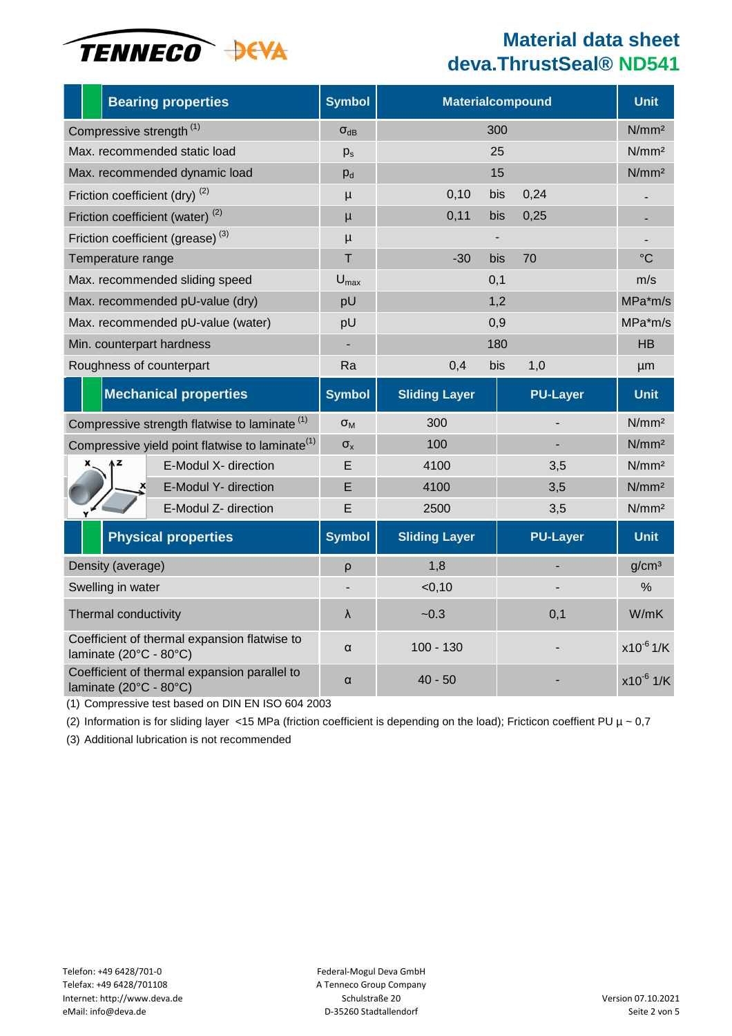

|                                                                        |                            |  | <b>Bearing properties</b>                    | <b>Symbol</b>        |                      | <b>Materialcompound</b> | <b>Unit</b>       |
|------------------------------------------------------------------------|----------------------------|--|----------------------------------------------|----------------------|----------------------|-------------------------|-------------------|
| Compressive strength <sup>(1)</sup>                                    |                            |  |                                              | $\sigma_{dB}$        |                      | 300                     | N/mm <sup>2</sup> |
| Max. recommended static load                                           |                            |  |                                              | $p_s$                |                      | 25                      | N/mm <sup>2</sup> |
| Max. recommended dynamic load                                          |                            |  |                                              | $p_d$                |                      | 15                      | N/mm <sup>2</sup> |
| Friction coefficient (dry) <sup>(2)</sup>                              |                            |  |                                              | $\mu$                | 0,10                 | 0,24<br>bis             |                   |
| Friction coefficient (water) <sup>(2)</sup>                            |                            |  |                                              | $\mu$                | 0,11                 | 0,25<br>bis             |                   |
|                                                                        |                            |  | Friction coefficient (grease) <sup>(3)</sup> | $\mu$                |                      |                         |                   |
| Temperature range                                                      |                            |  |                                              | T                    | $-30$                | bis<br>70               | $^{\circ}C$       |
| Max. recommended sliding speed                                         |                            |  |                                              | $U_{\text{max}}$     |                      | 0,1                     | m/s               |
| Max. recommended pU-value (dry)                                        |                            |  |                                              | pU                   | 1,2                  | MPa*m/s                 |                   |
| Max. recommended pU-value (water)                                      |                            |  |                                              | pU                   | 0,9                  | MPa*m/s                 |                   |
| Min. counterpart hardness                                              |                            |  |                                              |                      | 180                  | <b>HB</b>               |                   |
| Roughness of counterpart                                               |                            |  |                                              | Ra                   | 0,4                  | bis<br>1,0              | µm                |
|                                                                        |                            |  | <b>Mechanical properties</b>                 | <b>Symbol</b>        | <b>Sliding Layer</b> | <b>PU-Layer</b>         | <b>Unit</b>       |
| Compressive strength flatwise to laminate <sup>(1)</sup>               |                            |  |                                              | $\sigma_{\text{M}}$  | 300                  |                         | N/mm <sup>2</sup> |
| Compressive yield point flatwise to laminate <sup>(1)</sup>            |                            |  |                                              | $\sigma_{\rm x}$     | 100                  |                         | N/mm <sup>2</sup> |
|                                                                        |                            |  | E-Modul X- direction                         | Е                    | 4100                 | 3,5                     | N/mm <sup>2</sup> |
|                                                                        |                            |  | E-Modul Y- direction                         | E                    | 4100                 | 3,5                     | N/mm <sup>2</sup> |
|                                                                        |                            |  | E-Modul Z- direction                         | E                    | 2500                 | 3,5                     | N/mm <sup>2</sup> |
|                                                                        | <b>Physical properties</b> |  | <b>Symbol</b>                                | <b>Sliding Layer</b> | <b>PU-Layer</b>      | <b>Unit</b>             |                   |
| Density (average)                                                      |                            |  |                                              | ρ                    | 1,8                  |                         | g/cm <sup>3</sup> |
| Swelling in water                                                      |                            |  |                                              |                      | < 0, 10              |                         | $\%$              |
| Thermal conductivity                                                   |                            |  |                                              | $\lambda$            | $-0.3$               | 0,1                     | W/mK              |
| Coefficient of thermal expansion flatwise to<br>laminate (20°C - 80°C) |                            |  |                                              | $\alpha$             | $100 - 130$          |                         | $x10^{-6}$ 1/K    |
| Coefficient of thermal expansion parallel to<br>laminate (20°C - 80°C) |                            |  |                                              | α                    | $40 - 50$            |                         | $x10^{-6}$ 1/K    |

(1) Compressive test based on DIN EN ISO 604 2003

(2) Information is for sliding layer <15 MPa (friction coefficient is depending on the load); Fricticon coeffient PU  $\mu \sim 0.7$ 

(3) Additional lubrication is not recommended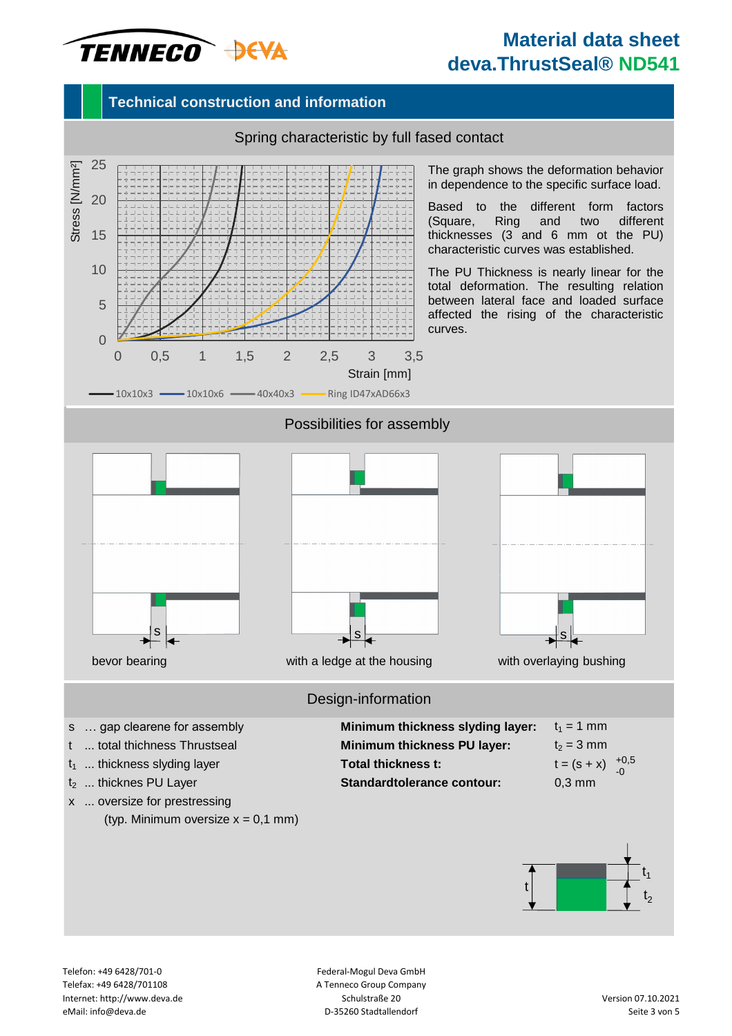# TENNECO DEVA

## **Material data sheet deva.ThrustSeal® ND541**

### **Technical construction and information**



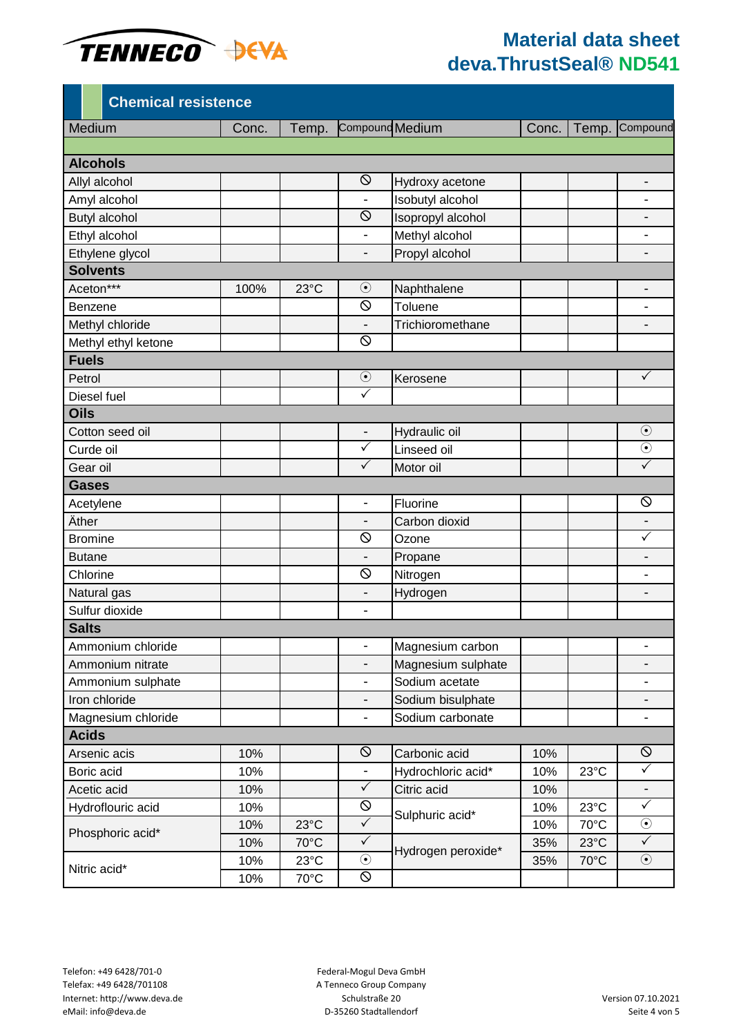

|                      | <b>Chemical resistence</b> |       |                |                              |                    |       |                |                          |
|----------------------|----------------------------|-------|----------------|------------------------------|--------------------|-------|----------------|--------------------------|
| Medium               |                            | Conc. | Temp.          | Compound Medium              |                    | Conc. | Temp.          | Compound                 |
|                      |                            |       |                |                              |                    |       |                |                          |
| <b>Alcohols</b>      |                            |       |                |                              |                    |       |                |                          |
| Allyl alcohol        |                            |       |                | $\circ$                      | Hydroxy acetone    |       |                | -                        |
| Amyl alcohol         |                            |       |                |                              | Isobutyl alcohol   |       |                |                          |
| <b>Butyl alcohol</b> |                            |       |                | $\circ$                      | Isopropyl alcohol  |       |                |                          |
| Ethyl alcohol        |                            |       |                | $\overline{\phantom{0}}$     | Methyl alcohol     |       |                | -                        |
| Ethylene glycol      |                            |       |                | $\overline{\phantom{0}}$     | Propyl alcohol     |       |                | -                        |
| <b>Solvents</b>      |                            |       |                |                              |                    |       |                |                          |
| Aceton***            |                            | 100%  | $23^{\circ}$ C | $\odot$                      | Naphthalene        |       |                | $\overline{\phantom{0}}$ |
| Benzene              |                            |       |                | $\circ$                      | Toluene            |       |                | -                        |
|                      | Methyl chloride            |       |                |                              | Trichioromethane   |       |                |                          |
|                      | Methyl ethyl ketone        |       |                | $\circ$                      |                    |       |                |                          |
| <b>Fuels</b>         |                            |       |                |                              |                    |       |                |                          |
| Petrol               |                            |       |                | $\odot$                      | Kerosene           |       |                | $\checkmark$             |
| Diesel fuel          |                            |       |                | $\checkmark$                 |                    |       |                |                          |
| <b>Oils</b>          |                            |       |                |                              |                    |       |                |                          |
|                      | Cotton seed oil            |       |                | $\overline{\phantom{0}}$     | Hydraulic oil      |       |                | $\odot$                  |
| Curde oil            |                            |       |                | $\checkmark$                 | Linseed oil        |       |                | $\odot$                  |
| Gear oil             |                            |       |                | $\checkmark$                 | Motor oil          |       |                | $\checkmark$             |
| <b>Gases</b>         |                            |       |                |                              |                    |       |                |                          |
| Acetylene            |                            |       |                | -                            | Fluorine           |       |                | $\circledcirc$           |
| Äther                |                            |       |                | $\overline{\phantom{0}}$     | Carbon dioxid      |       |                | $\overline{\phantom{a}}$ |
| <b>Bromine</b>       |                            |       |                | $\circ$                      | Ozone              |       |                | $\checkmark$             |
| <b>Butane</b>        |                            |       |                | -                            | Propane            |       |                | -                        |
| Chlorine             |                            |       |                | $\circ$                      | Nitrogen           |       |                | $\overline{\phantom{0}}$ |
| Natural gas          |                            |       |                | -                            | Hydrogen           |       |                |                          |
|                      | Sulfur dioxide             |       |                | $\overline{\phantom{0}}$     |                    |       |                |                          |
| <b>Salts</b>         |                            |       |                |                              |                    |       |                |                          |
|                      | Ammonium chloride          |       |                | $\qquad \qquad \blacksquare$ | Magnesium carbon   |       |                | -                        |
|                      | Ammonium nitrate           |       |                |                              | Magnesium sulphate |       |                |                          |
|                      | Ammonium sulphate          |       |                | -                            | Sodium acetate     |       |                | -                        |
|                      | Iron chloride              |       |                | $\overline{\phantom{0}}$     | Sodium bisulphate  |       |                |                          |
|                      | Magnesium chloride         |       |                | $\overline{\phantom{a}}$     | Sodium carbonate   |       |                | $\overline{\phantom{a}}$ |
| <b>Acids</b>         |                            |       |                |                              |                    |       |                |                          |
|                      | Arsenic acis               | 10%   |                | $\circ$                      | Carbonic acid      | 10%   |                | $\circ$                  |
| Boric acid           |                            | 10%   |                | $\overline{\phantom{a}}$     | Hydrochloric acid* | 10%   | 23°C           | $\checkmark$             |
| Acetic acid          |                            | 10%   |                | $\checkmark$                 | Citric acid        | 10%   |                |                          |
| Hydroflouric acid    |                            | 10%   |                | $\circledcirc$               | Sulphuric acid*    | 10%   | $23^{\circ}$ C | $\checkmark$             |
|                      |                            | 10%   | $23^{\circ}$ C | $\checkmark$                 |                    | 10%   | 70°C           | $\odot$                  |
| Phosphoric acid*     |                            | 10%   | 70°C           | $\checkmark$                 | Hydrogen peroxide* | 35%   | $23^{\circ}$ C | $\checkmark$             |
|                      |                            | 10%   | 23°C           | $\odot$                      |                    | 35%   | 70°C           | $\odot$                  |
| Nitric acid*         |                            | 10%   | 70°C           | 0                            |                    |       |                |                          |